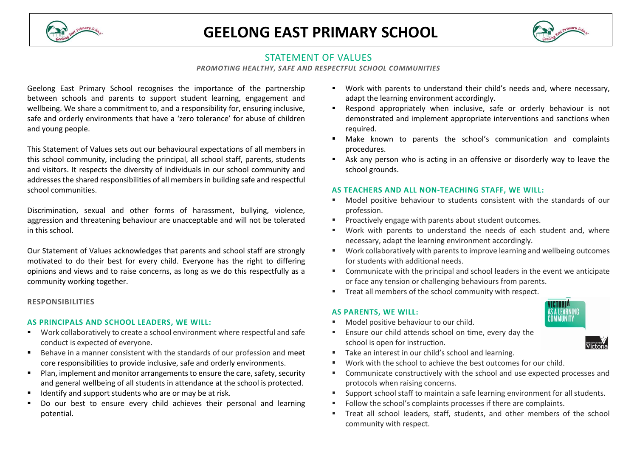

# **GEELONG EAST PRIMARY SCHOOL**



# STATEMENT OF VALUES

*PROMOTING HEALTHY, SAFE AND RESPECTFUL SCHOOL COMMUNITIES*

Geelong East Primary School recognises the importance of the partnership between schools and parents to support student learning, engagement and wellbeing. We share a commitment to, and a responsibility for, ensuring inclusive, safe and orderly environments that have a 'zero tolerance' for abuse of children and young people.

This Statement of Values sets out our behavioural expectations of all members in this school community, including the principal, all school staff, parents, students and visitors. It respects the diversity of individuals in our school community and addresses the shared responsibilities of all members in building safe and respectful school communities.

Discrimination, sexual and other forms of harassment, bullying, violence, aggression and threatening behaviour are unacceptable and will not be tolerated in this school.

Our Statement of Values acknowledges that parents and school staff are strongly motivated to do their best for every child. Everyone has the right to differing opinions and views and to raise concerns, as long as we do this respectfully as a community working together.

# **RESPONSIBILITIES**

# **AS PRINCIPALS AND SCHOOL LEADERS, WE WILL:**

- Work collaboratively to create a school environment where respectful and safe conduct is expected of everyone.
- Behave in a manner consistent with the standards of our profession and meet core responsibilities to provide inclusive, safe and orderly environments.
- Plan, implement and monitor arrangements to ensure the care, safety, security and general wellbeing of all students in attendance at the school is protected.
- Identify and support students who are or may be at risk.
- Do our best to ensure every child achieves their personal and learning potential.
- Work with parents to understand their child's needs and, where necessary, adapt the learning environment accordingly.
- Respond appropriately when inclusive, safe or orderly behaviour is not demonstrated and implement appropriate interventions and sanctions when required.
- Make known to parents the school's communication and complaints procedures.
- Ask any person who is acting in an offensive or disorderly way to leave the school grounds.

#### **AS TEACHERS AND ALL NON-TEACHING STAFF, WE WILL:**

- Model positive behaviour to students consistent with the standards of our profession.
- Proactively engage with parents about student outcomes.
- Work with parents to understand the needs of each student and, where necessary, adapt the learning environment accordingly.
- Work collaboratively with parents to improve learning and wellbeing outcomes for students with additional needs.
- Communicate with the principal and school leaders in the event we anticipate or face any tension or challenging behaviours from parents.
- Treat all members of the school community with respect.

#### **AS PARENTS, WE WILL:**

Model positive behaviour to our child.



 Ensure our child attends school on time, every day the school is open for instruction.



- Take an interest in our child's school and learning.
- Work with the school to achieve the best outcomes for our child.
- Communicate constructively with the school and use expected processes and protocols when raising concerns.
- **EXECT** Support school staff to maintain a safe learning environment for all students.
- Follow the school's complaints processes if there are complaints.
- Treat all school leaders, staff, students, and other members of the school community with respect.